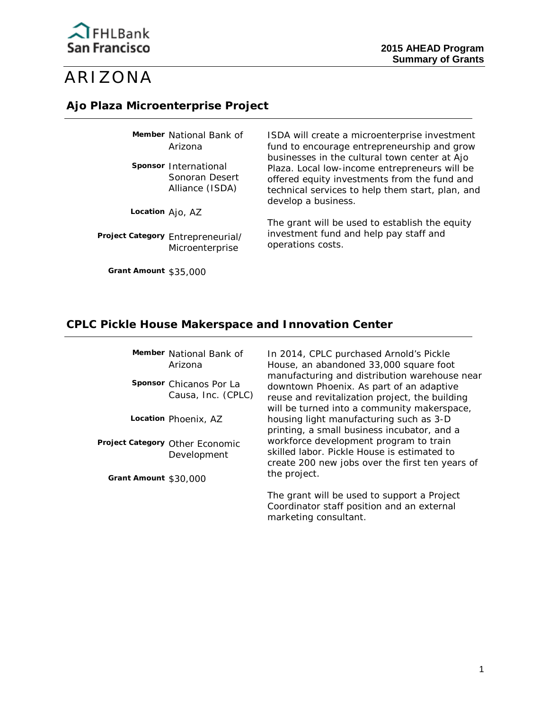

# ARIZONA

### **Ajo Plaza Microenterprise Project**

**Member** National Bank of Arizona

**Sponsor** International Sonoran Desert Alliance (ISDA)

**Location** Ajo, AZ

 **Project Category** Entrepreneurial/ Microenterprise

**Grant Amount** \$35,000

ISDA will create a microenterprise investment fund to encourage entrepreneurship and grow businesses in the cultural town center at Ajo Plaza. Local low-income entrepreneurs will be offered equity investments from the fund and technical services to help them start, plan, and develop a business.

The grant will be used to establish the equity investment fund and help pay staff and operations costs.

### **CPLC Pickle House Makerspace and Innovation Center**

**Member** National Bank of Arizona

 Causa, Inc. (CPLC) **Sponsor** Chicanos Por La

**Location** Phoenix, AZ

 **Project Category** Other Economic Development

**Grant Amount** \$30,000

In 2014, CPLC purchased Arnold's Pickle House, an abandoned 33,000 square foot manufacturing and distribution warehouse near downtown Phoenix. As part of an adaptive reuse and revitalization project, the building will be turned into a community makerspace, housing light manufacturing such as 3-D printing, a small business incubator, and a workforce development program to train skilled labor. Pickle House is estimated to create 200 new jobs over the first ten years of the project.

The grant will be used to support a Project Coordinator staff position and an external marketing consultant.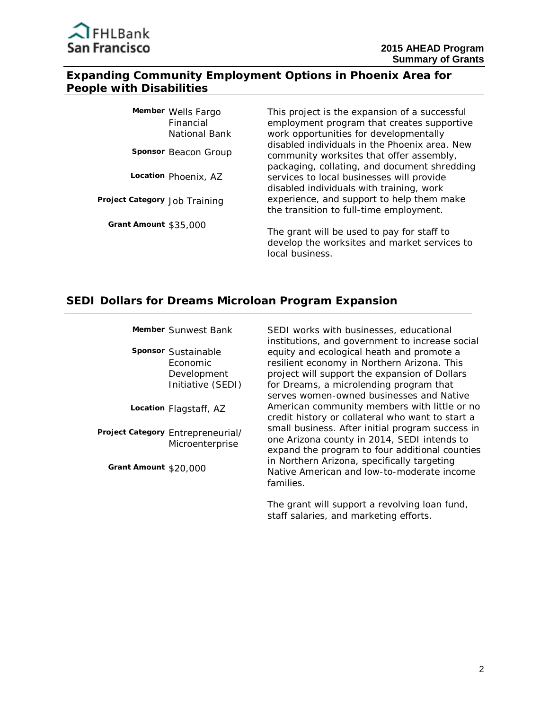### **Expanding Community Employment Options in Phoenix Area for People with Disabilities**

| Member Wells Fargo<br>Financial<br>National Bank | This project is the expansion of a successful<br>employment program that creates supportive<br>work opportunities for developmentally |
|--------------------------------------------------|---------------------------------------------------------------------------------------------------------------------------------------|
| Sponsor Beacon Group                             | disabled individuals in the Phoenix area. New<br>community worksites that offer assembly,                                             |
| Location Phoenix, AZ                             | packaging, collating, and document shredding<br>services to local businesses will provide<br>disabled individuals with training, work |
| Project Category Job Training                    | experience, and support to help them make<br>the transition to full-time employment.                                                  |
| Grant Amount \$35,000                            | The grant will be used to pay for staff to                                                                                            |

develop the worksites and market services to local business.

### **SEDI Dollars for Dreams Microloan Program Expansion**

**Member** Sunwest Bank

 Economic **Sponsor** Sustainable Development Initiative (SEDI)

**Location** Flagstaff, AZ

 **Project Category** Entrepreneurial/ Microenterprise

**Grant Amount** \$20,000

SEDI works with businesses, educational institutions, and government to increase social equity and ecological heath and promote a resilient economy in Northern Arizona. This project will support the expansion of Dollars for Dreams, a microlending program that serves women-owned businesses and Native American community members with little or no credit history or collateral who want to start a small business. After initial program success in one Arizona county in 2014, SEDI intends to expand the program to four additional counties in Northern Arizona, specifically targeting Native American and low-to-moderate income families.

The grant will support a revolving loan fund, staff salaries, and marketing efforts.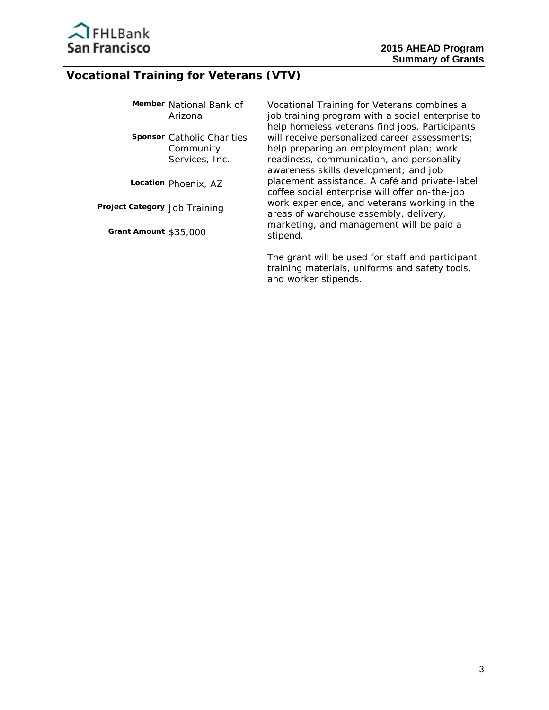

### **Vocational Training for Veterans (VTV)**

|         | Member National Bank of |  |
|---------|-------------------------|--|
| Arizona |                         |  |

 Community **Sponsor** Catholic Charities Services, Inc.

**Location** Phoenix, AZ

 **Project Category** Job Training

**Grant Amount** \$35,000

Vocational Training for Veterans combines a job training program with a social enterprise to help homeless veterans find jobs. Participants will receive personalized career assessments; help preparing an employment plan; work readiness, communication, and personality awareness skills development; and job placement assistance. A café and private-label coffee social enterprise will offer on-the-job work experience, and veterans working in the areas of warehouse assembly, delivery, marketing, and management will be paid a stipend.

The grant will be used for staff and participant training materials, uniforms and safety tools, and worker stipends.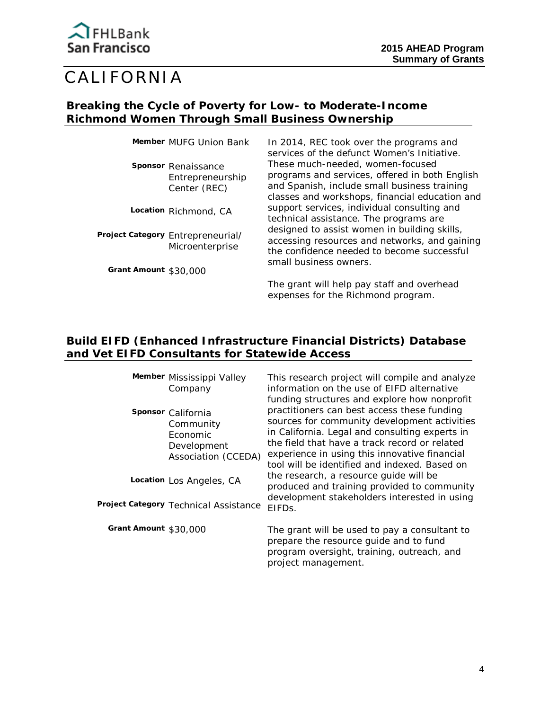

# CALIFORNIA

### **Breaking the Cycle of Poverty for Low- to Moderate-Income Richmond Women Through Small Business Ownership**

**Sponsor** Renaissance Entrepreneurship Center (REC)

**Location** Richmond, CA

**Project Category** Entrepreneurial/ Microenterprise

**Grant Amount** \$30,000

Member MUFG Union Bank In 2014, REC took over the programs and services of the defunct Women's Initiative. These much-needed, women-focused programs and services, offered in both English and Spanish, include small business training classes and workshops, financial education and support services, individual consulting and technical assistance. The programs are designed to assist women in building skills, accessing resources and networks, and gaining the confidence needed to become successful small business owners.

> The grant will help pay staff and overhead expenses for the Richmond program.

## **Build EIFD (Enhanced Infrastructure Financial Districts) Database and Vet EIFD Consultants for Statewide Access**

**Member** Mississippi Valley Company

**Sponsor** California Community Economic Development Association (CCEDA)

**Location** Los Angeles, CA

**Project Category** Technical Assistance

**Grant Amount** \$30,000

This research project will compile and analyze information on the use of EIFD alternative funding structures and explore how nonprofit practitioners can best access these funding sources for community development activities in California. Legal and consulting experts in the field that have a track record or related experience in using this innovative financial tool will be identified and indexed. Based on the research, a resource guide will be produced and training provided to community development stakeholders interested in using EIFDs.

The grant will be used to pay a consultant to prepare the resource guide and to fund program oversight, training, outreach, and project management.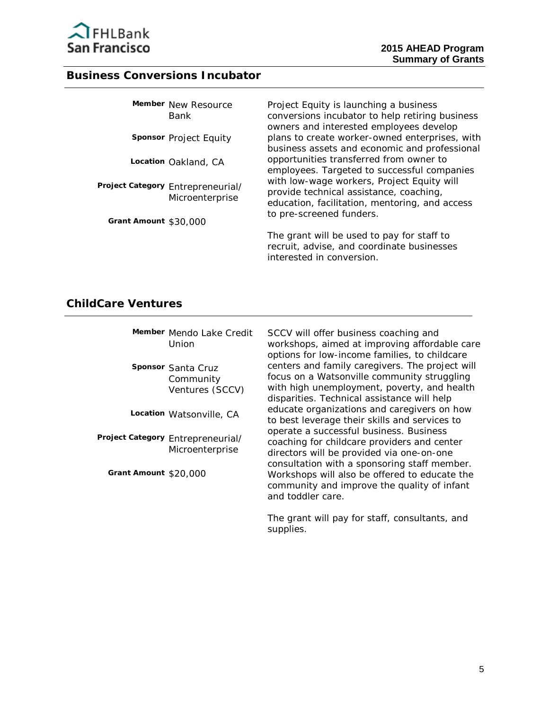

#### **Business Conversions Incubator**

| Member New Resource<br>Bank                          | Project Equity is launching a business<br>conversions incubator to help retiring business<br>owners and interested employees develop    |
|------------------------------------------------------|-----------------------------------------------------------------------------------------------------------------------------------------|
| Sponsor Project Equity                               | plans to create worker-owned enterprises, with<br>business assets and economic and professional                                         |
| Location Oakland, CA                                 | opportunities transferred from owner to<br>employees. Targeted to successful companies                                                  |
| Project Category Entrepreneurial/<br>Microenterprise | with low-wage workers, Project Equity will<br>provide technical assistance, coaching,<br>education, facilitation, mentoring, and access |
| Grant Amount \$30,000                                | to pre-screened funders.                                                                                                                |

The grant will be used to pay for staff to recruit, advise, and coordinate businesses interested in conversion.

#### **ChildCare Ventures**

| Member Mendo Lake Credit |
|--------------------------|
| Union                    |

**Sponsor** Santa Cruz Community Ventures (SCCV)

**Location** Watsonville, CA

**Project Category** Entrepreneurial/ Microenterprise

**Grant Amount** \$20,000

SCCV will offer business coaching and workshops, aimed at improving affordable care options for low-income families, to childcare centers and family caregivers. The project will focus on a Watsonville community struggling with high unemployment, poverty, and health disparities. Technical assistance will help educate organizations and caregivers on how to best leverage their skills and services to operate a successful business. Business coaching for childcare providers and center directors will be provided via one-on-one consultation with a sponsoring staff member. Workshops will also be offered to educate the community and improve the quality of infant and toddler care.

The grant will pay for staff, consultants, and supplies.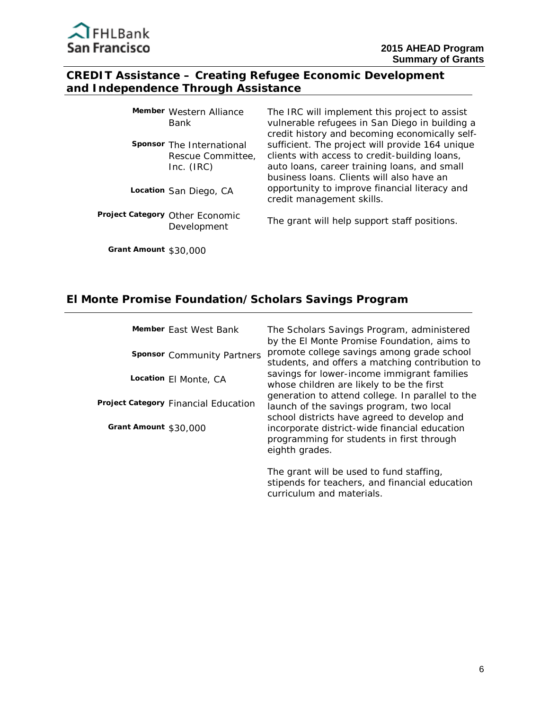

# **CREDIT Assistance – Creating Refugee Economic Development and Independence Through Assistance**

| Member Western Alliance<br>Bank                              | The IRC will implement this project to assist<br>vulnerable refugees in San Diego in building a<br>credit history and becoming economically self-                                             |
|--------------------------------------------------------------|-----------------------------------------------------------------------------------------------------------------------------------------------------------------------------------------------|
| Sponsor The International<br>Rescue Committee,<br>Inc. (IRC) | sufficient. The project will provide 164 unique<br>clients with access to credit-building loans,<br>auto loans, career training loans, and small<br>business Ioans. Clients will also have an |
| Location San Diego, CA                                       | opportunity to improve financial literacy and<br>credit management skills.                                                                                                                    |
| Project Category Other Economic<br>Development               | The grant will help support staff positions.                                                                                                                                                  |

**Grant Amount** \$30,000

# **El Monte Promise Foundation/Scholars Savings Program**

|                       | Member East West Bank                | The Scholars Savings Program, administered<br>by the El Monte Promise Foundation, aims to                                                   |
|-----------------------|--------------------------------------|---------------------------------------------------------------------------------------------------------------------------------------------|
|                       | <b>Sponsor</b> Community Partners    | promote college savings among grade school<br>students, and offers a matching contribution to                                               |
|                       | Location El Monte, CA                | savings for lower-income immigrant families<br>whose children are likely to be the first                                                    |
|                       | Project Category Financial Education | generation to attend college. In parallel to the<br>launch of the savings program, two local<br>school districts have agreed to develop and |
| Grant Amount \$30,000 |                                      | incorporate district-wide financial education<br>programming for students in first through<br>eighth grades.                                |
|                       |                                      | The grant will be used to fund staffing,                                                                                                    |

stipends for teachers, and financial education curriculum and materials.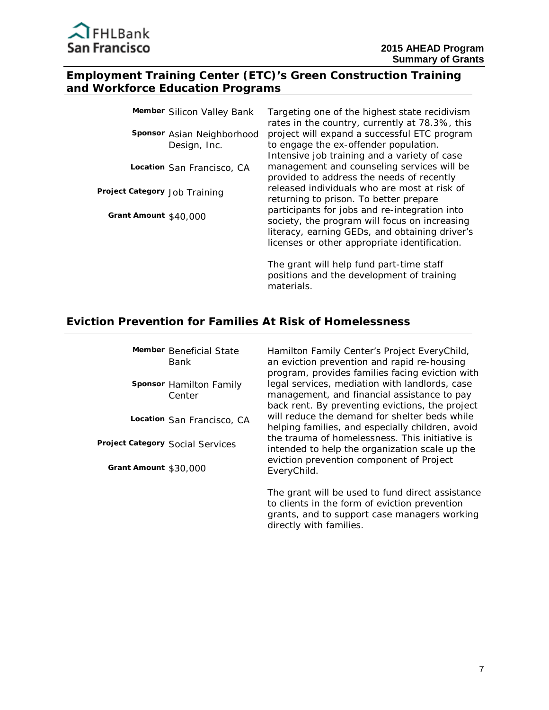

#### **Employment Training Center (ETC)'s Green Construction Training and Workforce Education Programs**

|                               | Member Silicon Valley Bank                 | Targeting one of the highest state recidivism<br>rates in the country, currently at 78.3%, this                                                                                                   |
|-------------------------------|--------------------------------------------|---------------------------------------------------------------------------------------------------------------------------------------------------------------------------------------------------|
|                               | Sponsor Asian Neighborhood<br>Design, Inc. | project will expand a successful ETC program<br>to engage the ex-offender population.<br>Intensive job training and a variety of case                                                             |
|                               | Location San Francisco, CA                 | management and counseling services will be<br>provided to address the needs of recently                                                                                                           |
| Project Category Job Training |                                            | released individuals who are most at risk of<br>returning to prison. To better prepare                                                                                                            |
| Grant Amount $$40.000$        |                                            | participants for jobs and re-integration into<br>society, the program will focus on increasing<br>literacy, earning GEDs, and obtaining driver's<br>licenses or other appropriate identification. |
|                               |                                            | The grant will help fund part-time staff                                                                                                                                                          |

positions and the development of training materials.

### **Eviction Prevention for Families At Risk of Homelessness**

**Member** Beneficial State Bank

**Sponsor** Hamilton Family Center

**Location** San Francisco, CA

**Project Category** Social Services

**Grant Amount** \$30,000

Hamilton Family Center's Project EveryChild, an eviction prevention and rapid re-housing program, provides families facing eviction with legal services, mediation with landlords, case management, and financial assistance to pay back rent. By preventing evictions, the project will reduce the demand for shelter beds while helping families, and especially children, avoid the trauma of homelessness. This initiative is intended to help the organization scale up the eviction prevention component of Project EveryChild.

The grant will be used to fund direct assistance to clients in the form of eviction prevention grants, and to support case managers working directly with families.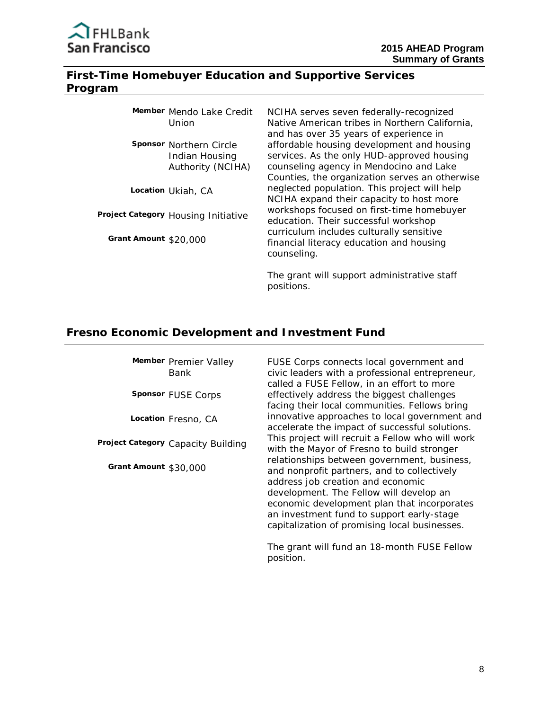

### **First-Time Homebuyer Education and Supportive Services Program**

|                       | Member Mendo Lake Credit<br>Union                                     | NCIHA serves seven federally-recognized<br>Native American tribes in Northern California,<br>and has over 35 years of experience in                                                   |
|-----------------------|-----------------------------------------------------------------------|---------------------------------------------------------------------------------------------------------------------------------------------------------------------------------------|
|                       | <b>Sponsor Northern Circle</b><br>Indian Housing<br>Authority (NCIHA) | affordable housing development and housing<br>services. As the only HUD-approved housing<br>counseling agency in Mendocino and Lake<br>Counties, the organization serves an otherwise |
|                       | Location Ukiah, CA                                                    | neglected population. This project will help<br>NCIHA expand their capacity to host more                                                                                              |
|                       | Project Category Housing Initiative                                   | workshops focused on first-time homebuyer<br>education. Their successful workshop                                                                                                     |
| Grant Amount \$20,000 |                                                                       | curriculum includes culturally sensitive<br>financial literacy education and housing<br>counseling.                                                                                   |

The grant will support administrative staff positions.

#### **Fresno Economic Development and Investment Fund**

**Member** Premier Valley Bank

**Sponsor** FUSE Corps

**Location** Fresno, CA

 **Project Category** Capacity Building

**Grant Amount** \$30,000

FUSE Corps connects local government and civic leaders with a professional entrepreneur, called a FUSE Fellow, in an effort to more effectively address the biggest challenges facing their local communities. Fellows bring innovative approaches to local government and accelerate the impact of successful solutions. This project will recruit a Fellow who will work with the Mayor of Fresno to build stronger relationships between government, business, and nonprofit partners, and to collectively address job creation and economic development. The Fellow will develop an economic development plan that incorporates an investment fund to support early-stage capitalization of promising local businesses.

The grant will fund an 18-month FUSE Fellow position.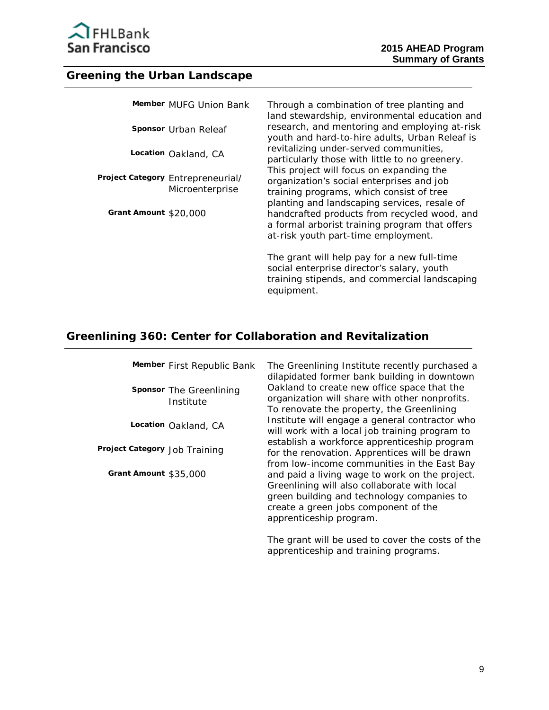

# **Greening the Urban Landscape**

|                       | Member MUFG Union Bank                               | Through a combination of tree planting and<br>land stewardship, environmental education and                                                                                       |
|-----------------------|------------------------------------------------------|-----------------------------------------------------------------------------------------------------------------------------------------------------------------------------------|
|                       | Sponsor Urban Releaf                                 | research, and mentoring and employing at-risk<br>youth and hard-to-hire adults, Urban Releaf is                                                                                   |
|                       | Location Oakland, CA                                 | revitalizing under-served communities,<br>particularly those with little to no greenery.                                                                                          |
|                       | Project Category Entrepreneurial/<br>Microenterprise | This project will focus on expanding the<br>organization's social enterprises and job<br>training programs, which consist of tree<br>planting and landscaping services, resale of |
| Grant Amount \$20,000 |                                                      | handcrafted products from recycled wood, and<br>a formal arborist training program that offers<br>at-risk youth part-time employment.                                             |
|                       |                                                      | The grant will help pay for a new full-time<br>social enterprise director's salary, youth                                                                                         |

equipment.

# **Greenlining 360: Center for Collaboration and Revitalization**

|                               | Member First Republic Bank           | The Greenlining Institute recently purchased a<br>dilapidated former bank building in downtown                                                                                                                  |
|-------------------------------|--------------------------------------|-----------------------------------------------------------------------------------------------------------------------------------------------------------------------------------------------------------------|
|                               | Sponsor The Greenlining<br>Institute | Oakland to create new office space that the<br>organization will share with other nonprofits.<br>To renovate the property, the Greenlining                                                                      |
|                               | Location Oakland, CA                 | Institute will engage a general contractor who<br>will work with a local job training program to                                                                                                                |
| Project Category Job Training |                                      | establish a workforce apprenticeship program<br>for the renovation. Apprentices will be drawn<br>from low-income communities in the East Bay                                                                    |
| Grant Amount \$35,000         |                                      | and paid a living wage to work on the project.<br>Greenlining will also collaborate with local<br>green building and technology companies to<br>create a green jobs component of the<br>apprenticeship program. |
|                               |                                      | The graph will be used to cover the sects of the                                                                                                                                                                |

The grant will be used to cover the costs of the apprenticeship and training programs.

training stipends, and commercial landscaping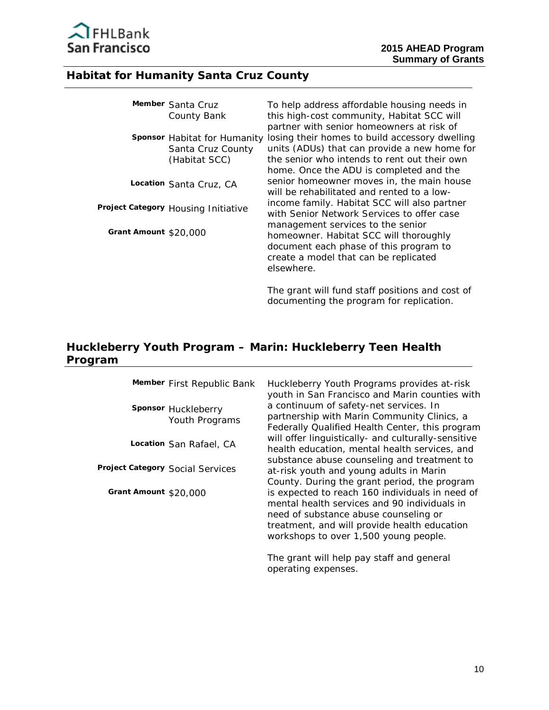

# **Habitat for Humanity Santa Cruz County**

|                       | Member Santa Cruz                                                  | To help address affordable housing needs in                                                                                                                                               |
|-----------------------|--------------------------------------------------------------------|-------------------------------------------------------------------------------------------------------------------------------------------------------------------------------------------|
|                       | County Bank                                                        | this high-cost community, Habitat SCC will<br>partner with senior homeowners at risk of                                                                                                   |
|                       | Sponsor Habitat for Humanity<br>Santa Cruz County<br>(Habitat SCC) | losing their homes to build accessory dwelling<br>units (ADUs) that can provide a new home for<br>the senior who intends to rent out their own<br>home. Once the ADU is completed and the |
|                       | Location Santa Cruz, CA                                            | senior homeowner moves in, the main house<br>will be rehabilitated and rented to a low-                                                                                                   |
|                       | Project Category Housing Initiative                                | income family. Habitat SCC will also partner<br>with Senior Network Services to offer case                                                                                                |
| Grant Amount \$20,000 |                                                                    | management services to the senior<br>homeowner. Habitat SCC will thoroughly<br>document each phase of this program to                                                                     |
|                       |                                                                    | create a model that can be replicated<br>elsewhere.                                                                                                                                       |

The grant will fund staff positions and cost of documenting the program for replication.

# **Huckleberry Youth Program – Marin: Huckleberry Teen Health Program**

| Member First Republic Bank            | Huckleberry Youth Programs provides at-risk<br>youth in San Francisco and Marin counties with                                                                                                                                     |
|---------------------------------------|-----------------------------------------------------------------------------------------------------------------------------------------------------------------------------------------------------------------------------------|
| Sponsor Huckleberry<br>Youth Programs | a continuum of safety-net services. In<br>partnership with Marin Community Clinics, a<br>Federally Qualified Health Center, this program                                                                                          |
| Location San Rafael, CA               | will offer linguistically- and culturally-sensitive<br>health education, mental health services, and                                                                                                                              |
| Project Category Social Services      | substance abuse counseling and treatment to<br>at-risk youth and young adults in Marin<br>County. During the grant period, the program                                                                                            |
| Grant Amount \$20,000                 | is expected to reach 160 individuals in need of<br>mental health services and 90 individuals in<br>need of substance abuse counseling or<br>treatment, and will provide health education<br>workshops to over 1,500 young people. |
|                                       | The grant will help pay staff and general<br>operating expenses.                                                                                                                                                                  |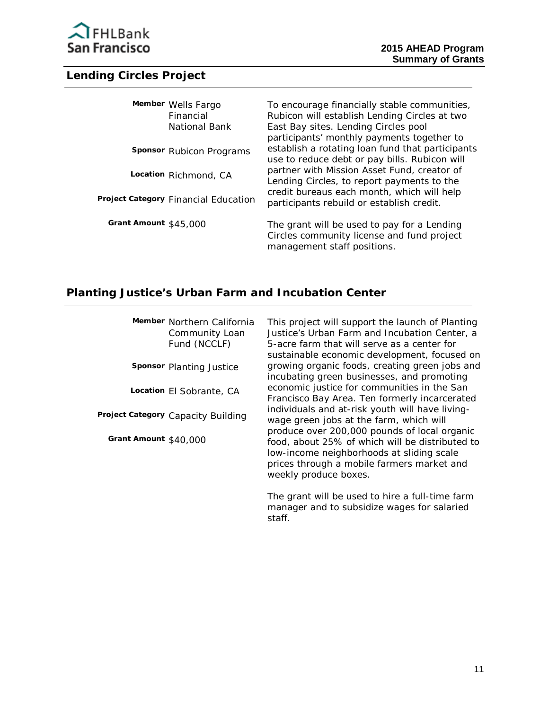

# **Lending Circles Project**

| Member Wells Fargo<br>Financial<br>National Bank | To encourage financially stable communities,<br>Rubicon will establish Lending Circles at two<br>East Bay sites. Lending Circles pool           |
|--------------------------------------------------|-------------------------------------------------------------------------------------------------------------------------------------------------|
| Sponsor Rubicon Programs                         | participants' monthly payments together to<br>establish a rotating loan fund that participants<br>use to reduce debt or pay bills. Rubicon will |
| Location Richmond, CA                            | partner with Mission Asset Fund, creator of<br>Lending Circles, to report payments to the                                                       |
| Project Category Financial Education             | credit bureaus each month, which will help<br>participants rebuild or establish credit.                                                         |
| Grant Amount $$45,000$                           | The grant will be used to pay for a Lending<br>Circles community license and fund project                                                       |

management staff positions.

# **Planting Justice's Urban Farm and Incubation Center**

| Member Northern California<br>Community Loan<br>Fund (NCCLF) | This project will support the launch of Planting<br>Justice's Urban Farm and Incubation Center, a<br>5-acre farm that will serve as a center for<br>sustainable economic development, focused on |
|--------------------------------------------------------------|--------------------------------------------------------------------------------------------------------------------------------------------------------------------------------------------------|
| Sponsor Planting Justice                                     | growing organic foods, creating green jobs and<br>incubating green businesses, and promoting                                                                                                     |
| Location El Sobrante, CA                                     | economic justice for communities in the San<br>Francisco Bay Area. Ten formerly incarcerated                                                                                                     |
| Project Category Capacity Building                           | individuals and at-risk youth will have living-<br>wage green jobs at the farm, which will<br>produce over 200,000 pounds of local organic                                                       |
| Grant Amount \$40,000                                        | food, about 25% of which will be distributed to<br>low-income neighborhoods at sliding scale<br>prices through a mobile farmers market and<br>weekly produce boxes.                              |

The grant will be used to hire a full-time farm manager and to subsidize wages for salaried staff.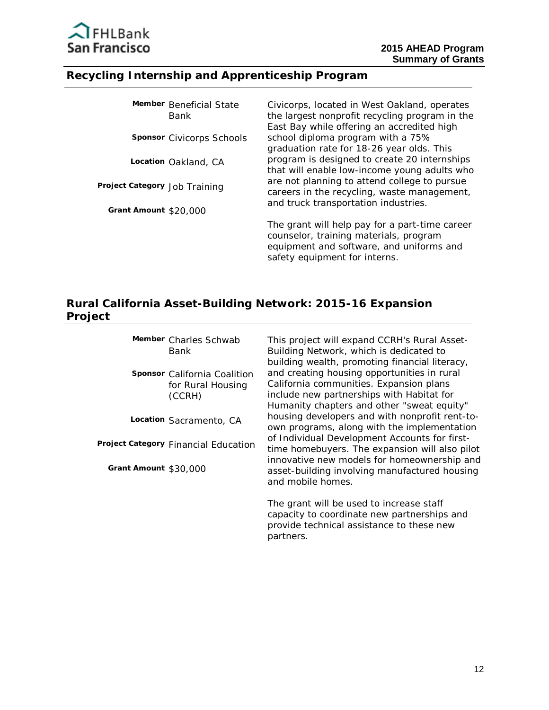

#### **Recycling Internship and Apprenticeship Program**

| Member Beneficial State<br>Bank  | Civicorps, located in West Oakland, operates<br>the largest nonprofit recycling program in the<br>East Bay while offering an accredited high                          |
|----------------------------------|-----------------------------------------------------------------------------------------------------------------------------------------------------------------------|
| <b>Sponsor</b> Civicorps Schools | school diploma program with a 75%<br>graduation rate for 18-26 year olds. This                                                                                        |
| Location Oakland, CA             | program is designed to create 20 internships<br>that will enable low-income young adults who                                                                          |
| Project Category Job Training    | are not planning to attend college to pursue<br>careers in the recycling, waste management,                                                                           |
| Grant Amount \$20,000            | and truck transportation industries.                                                                                                                                  |
|                                  | The grant will help pay for a part-time career<br>counselor, training materials, program<br>equipment and software, and uniforms and<br>safety equipment for interns. |

### **Rural California Asset-Building Network: 2015-16 Expansion Project**

**Member** Charles Schwab Bank

**Sponsor** California Coalition for Rural Housing (CCRH)

**Location** Sacramento, CA

**Project Category** Financial Education

**Grant Amount** \$30,000

This project will expand CCRH's Rural Asset-Building Network, which is dedicated to building wealth, promoting financial literacy, and creating housing opportunities in rural California communities. Expansion plans include new partnerships with Habitat for Humanity chapters and other "sweat equity" housing developers and with nonprofit rent-toown programs, along with the implementation of Individual Development Accounts for firsttime homebuyers. The expansion will also pilot innovative new models for homeownership and asset-building involving manufactured housing and mobile homes.

The grant will be used to increase staff capacity to coordinate new partnerships and provide technical assistance to these new partners.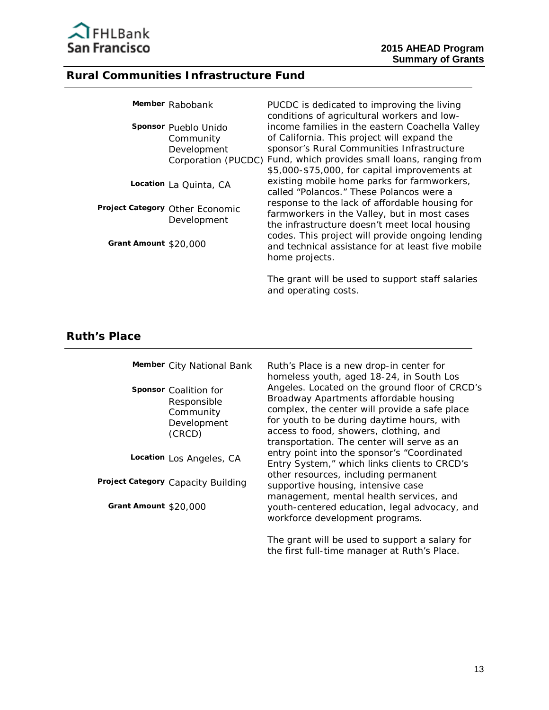

#### **Rural Communities Infrastructure Fund**

|                       | Member Rabobank                                  | PUCDC is dedicated to improving the living<br>conditions of agricultural workers and low-                                                                                                                          |
|-----------------------|--------------------------------------------------|--------------------------------------------------------------------------------------------------------------------------------------------------------------------------------------------------------------------|
|                       | Sponsor Pueblo Unido<br>Community<br>Development | income families in the eastern Coachella Valley<br>of California. This project will expand the<br>sponsor's Rural Communities Infrastructure<br>Corporation (PUCDC) Fund, which provides small loans, ranging from |
|                       | Location La Quinta, CA                           | \$5,000-\$75,000, for capital improvements at<br>existing mobile home parks for farmworkers,<br>called "Polancos." These Polancos were a                                                                           |
|                       | Project Category Other Economic<br>Development   | response to the lack of affordable housing for<br>farmworkers in the Valley, but in most cases<br>the infrastructure doesn't meet local housing                                                                    |
| Grant Amount \$20,000 |                                                  | codes. This project will provide ongoing lending<br>and technical assistance for at least five mobile<br>home projects.                                                                                            |

The grant will be used to support staff salaries and operating costs.

#### **Ruth's Place**

**Member** City National Bank Responsible **Sponsor** Coalition for Community Development (CRCD)

**Location** Los Angeles, CA

 **Project Category** Capacity Building

**Grant Amount** \$20,000

Ruth's Place is a new drop-in center for homeless youth, aged 18-24, in South Los Angeles. Located on the ground floor of CRCD's Broadway Apartments affordable housing complex, the center will provide a safe place for youth to be during daytime hours, with access to food, showers, clothing, and transportation. The center will serve as an entry point into the sponsor's "Coordinated Entry System," which links clients to CRCD's other resources, including permanent supportive housing, intensive case management, mental health services, and youth-centered education, legal advocacy, and workforce development programs.

The grant will be used to support a salary for the first full-time manager at Ruth's Place.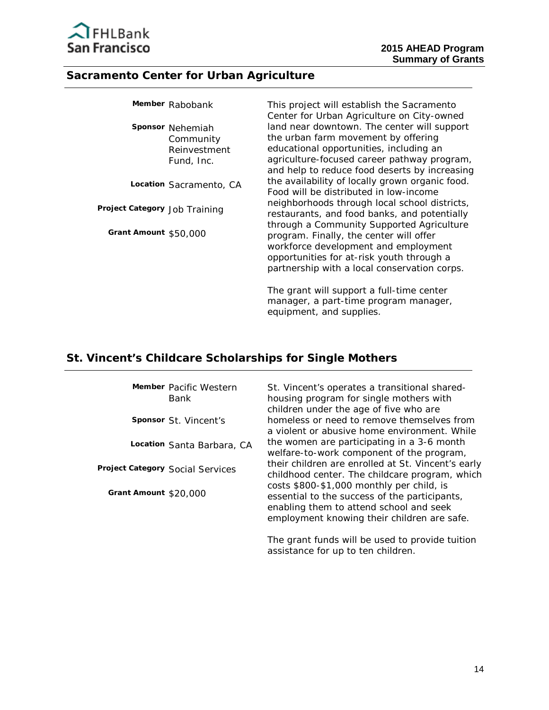

#### **Sacramento Center for Urban Agriculture**

|                               | Member Rabobank                                             | This project will establish the Sacramento<br>Center for Urban Agriculture on City-owned                                                                                                                                      |
|-------------------------------|-------------------------------------------------------------|-------------------------------------------------------------------------------------------------------------------------------------------------------------------------------------------------------------------------------|
|                               | Sponsor Nehemiah<br>Community<br>Reinvestment<br>Fund, Inc. | land near downtown. The center will support<br>the urban farm movement by offering<br>educational opportunities, including an<br>agriculture-focused career pathway program,<br>and help to reduce food deserts by increasing |
|                               | Location Sacramento, CA                                     | the availability of locally grown organic food.<br>Food will be distributed in low-income                                                                                                                                     |
| Project Category Job Training |                                                             | neighborhoods through local school districts,<br>restaurants, and food banks, and potentially                                                                                                                                 |
| Grant Amount \$50,000         |                                                             | through a Community Supported Agriculture<br>program. Finally, the center will offer<br>workforce development and employment<br>opportunities for at-risk youth through a<br>partnership with a local conservation corps.     |

The grant will support a full-time center manager, a part-time program manager, equipment, and supplies.

### **St. Vincent's Childcare Scholarships for Single Mothers**

**Member** Pacific Western Bank

**Sponsor** St. Vincent's

**Location** Santa Barbara, CA

 **Project Category** Social Services

**Grant Amount** \$20,000

St. Vincent's operates a transitional sharedhousing program for single mothers with children under the age of five who are homeless or need to remove themselves from a violent or abusive home environment. While the women are participating in a 3-6 month welfare-to-work component of the program, their children are enrolled at St. Vincent's early childhood center. The childcare program, which costs \$800-\$1,000 monthly per child, is essential to the success of the participants, enabling them to attend school and seek employment knowing their children are safe.

The grant funds will be used to provide tuition assistance for up to ten children.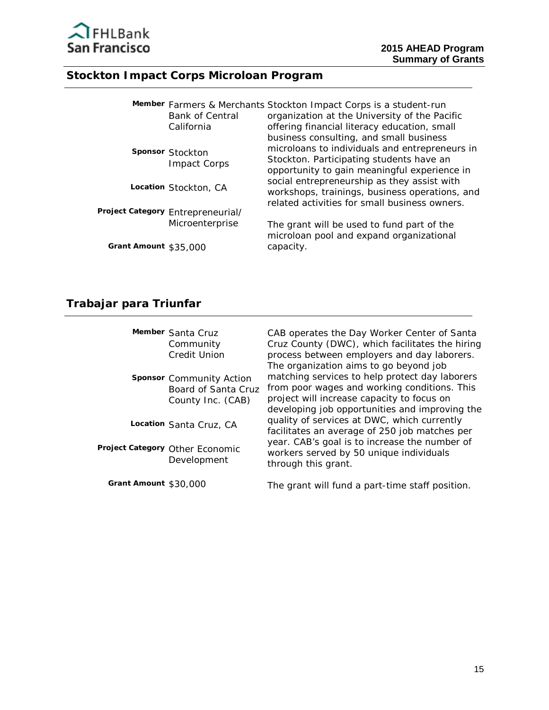

# **Stockton Impact Corps Microloan Program**

|                       | <b>Bank of Central</b><br>California | Member Farmers & Merchants Stockton Impact Corps is a student-run<br>organization at the University of the Pacific<br>offering financial literacy education, small                    |
|-----------------------|--------------------------------------|---------------------------------------------------------------------------------------------------------------------------------------------------------------------------------------|
|                       | Sponsor Stockton<br>Impact Corps     | business consulting, and small business<br>microloans to individuals and entrepreneurs in<br>Stockton. Participating students have an<br>opportunity to gain meaningful experience in |
|                       | Location Stockton, CA                | social entrepreneurship as they assist with<br>workshops, trainings, business operations, and<br>related activities for small business owners.                                        |
|                       | Project Category Entrepreneurial/    |                                                                                                                                                                                       |
|                       | Microenterprise                      | The grant will be used to fund part of the<br>microloan pool and expand organizational                                                                                                |
| Grant Amount \$35,000 |                                      | capacity.                                                                                                                                                                             |

# **Trabajar para Triunfar**

|                       | Member Santa Cruz<br>Community<br><b>Credit Union</b>                | CAB operates the Day Worker Center of Santa<br>Cruz County (DWC), which facilitates the hiring<br>process between employers and day laborers.<br>The organization aims to go beyond job        |
|-----------------------|----------------------------------------------------------------------|------------------------------------------------------------------------------------------------------------------------------------------------------------------------------------------------|
|                       | Sponsor Community Action<br>Board of Santa Cruz<br>County Inc. (CAB) | matching services to help protect day laborers<br>from poor wages and working conditions. This<br>project will increase capacity to focus on<br>developing job opportunities and improving the |
|                       | Location Santa Cruz, CA                                              | quality of services at DWC, which currently<br>facilitates an average of 250 job matches per                                                                                                   |
|                       | Project Category Other Economic<br>Development                       | year. CAB's goal is to increase the number of<br>workers served by 50 unique individuals<br>through this grant.                                                                                |
| Grant Amount \$30,000 |                                                                      | The grant will fund a part-time staff position                                                                                                                                                 |

The grant will fund a part-time staff position.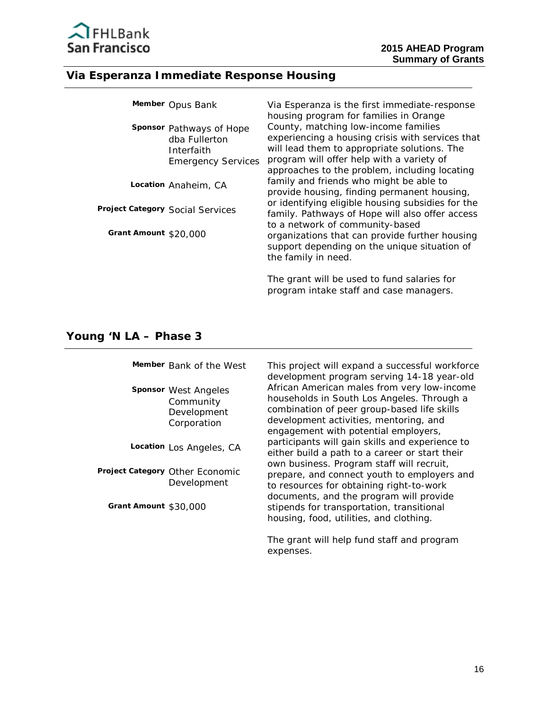

# **Via Esperanza Immediate Response Housing**

|                       | Member Opus Bank                                                                     | Via Esperanza is the first immediate-response<br>housing program for families in Orange                                                                                                                                                |
|-----------------------|--------------------------------------------------------------------------------------|----------------------------------------------------------------------------------------------------------------------------------------------------------------------------------------------------------------------------------------|
|                       | Sponsor Pathways of Hope<br>dba Fullerton<br>Interfaith<br><b>Emergency Services</b> | County, matching low-income families<br>experiencing a housing crisis with services that<br>will lead them to appropriate solutions. The<br>program will offer help with a variety of<br>approaches to the problem, including locating |
|                       | Location Anaheim, CA                                                                 | family and friends who might be able to<br>provide housing, finding permanent housing,                                                                                                                                                 |
|                       | Project Category Social Services                                                     | or identifying eligible housing subsidies for the<br>family. Pathways of Hope will also offer access                                                                                                                                   |
| Grant Amount \$20,000 |                                                                                      | to a network of community-based<br>organizations that can provide further housing<br>support depending on the unique situation of<br>the family in need.                                                                               |
|                       |                                                                                      | The grant will be used to fund salaries for<br>program intake staff and case managers.                                                                                                                                                 |

### **Young 'N LA – Phase 3**

|                       | Member Bank of the West                                         | This project will expand a successful workforce<br>development program serving 14-18 year-old                                                                                                                              |
|-----------------------|-----------------------------------------------------------------|----------------------------------------------------------------------------------------------------------------------------------------------------------------------------------------------------------------------------|
|                       | Sponsor West Angeles<br>Community<br>Development<br>Corporation | African American males from very low-income<br>households in South Los Angeles. Through a<br>combination of peer group-based life skills<br>development activities, mentoring, and<br>engagement with potential employers, |
|                       | Location Los Angeles, CA                                        | participants will gain skills and experience to<br>either build a path to a career or start their                                                                                                                          |
|                       | Project Category Other Economic<br>Development                  | own business. Program staff will recruit,<br>prepare, and connect youth to employers and<br>to resources for obtaining right-to-work<br>documents, and the program will provide                                            |
| Grant Amount \$30,000 |                                                                 | stipends for transportation, transitional<br>housing, food, utilities, and clothing.                                                                                                                                       |
|                       |                                                                 | The grant will help fund staff and program                                                                                                                                                                                 |

expenses.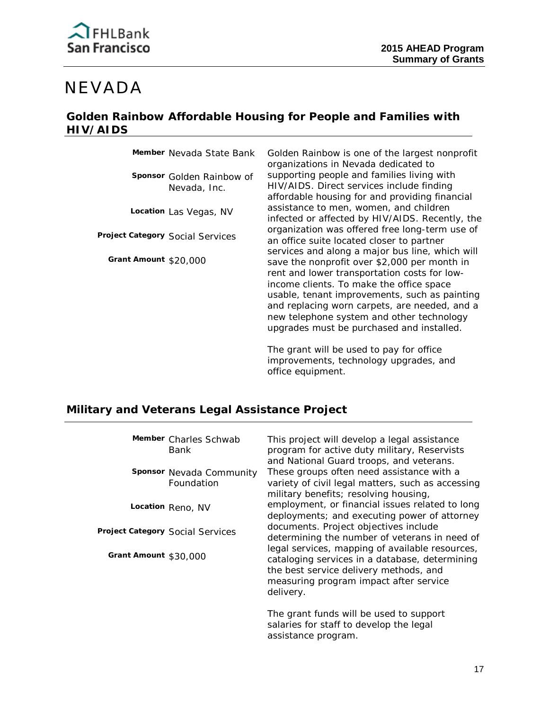# NEVADA

### **Golden Rainbow Affordable Housing for People and Families with HIV/AIDS**

**Member** Nevada State Bank

 Nevada, Inc. **Sponsor** Golden Rainbow of

**Location** Las Vegas, NV

 **Project Category** Social Services

**Grant Amount** \$20,000

Golden Rainbow is one of the largest nonprofit organizations in Nevada dedicated to supporting people and families living with HIV/AIDS. Direct services include finding affordable housing for and providing financial assistance to men, women, and children infected or affected by HIV/AIDS. Recently, the organization was offered free long-term use of an office suite located closer to partner services and along a major bus line, which will save the nonprofit over \$2,000 per month in rent and lower transportation costs for lowincome clients. To make the office space usable, tenant improvements, such as painting and replacing worn carpets, are needed, and a new telephone system and other technology upgrades must be purchased and installed.

The grant will be used to pay for office improvements, technology upgrades, and office equipment.

# **Military and Veterans Legal Assistance Project**

|                       | Member Charles Schwab<br>Bank          | This project will develop a legal assistance<br>program for active duty military, Reservists<br>and National Guard troops, and veterans.                                                           |
|-----------------------|----------------------------------------|----------------------------------------------------------------------------------------------------------------------------------------------------------------------------------------------------|
|                       | Sponsor Nevada Community<br>Foundation | These groups often need assistance with a<br>variety of civil legal matters, such as accessing<br>military benefits; resolving housing,                                                            |
|                       | Location Reno, NV                      | employment, or financial issues related to long<br>deployments; and executing power of attorney                                                                                                    |
|                       | Project Category Social Services       | documents. Project objectives include<br>determining the number of veterans in need of                                                                                                             |
| Grant Amount \$30,000 |                                        | legal services, mapping of available resources,<br>cataloging services in a database, determining<br>the best service delivery methods, and<br>measuring program impact after service<br>delivery. |
|                       |                                        | The grant funds will be used to support<br>salaries for staff to develop the legal                                                                                                                 |

assistance program.